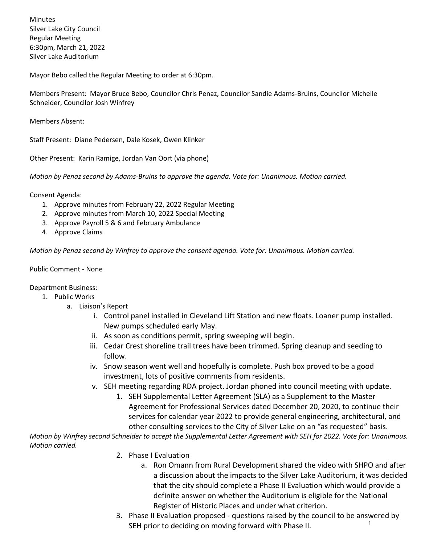Minutes Silver Lake City Council Regular Meeting 6:30pm, March 21, 2022 Silver Lake Auditorium

Mayor Bebo called the Regular Meeting to order at 6:30pm.

Members Present: Mayor Bruce Bebo, Councilor Chris Penaz, Councilor Sandie Adams-Bruins, Councilor Michelle Schneider, Councilor Josh Winfrey

Members Absent:

Staff Present: Diane Pedersen, Dale Kosek, Owen Klinker

Other Present: Karin Ramige, Jordan Van Oort (via phone)

*Motion by Penaz second by Adams-Bruins to approve the agenda. Vote for: Unanimous. Motion carried.*

Consent Agenda:

- 1. Approve minutes from February 22, 2022 Regular Meeting
- 2. Approve minutes from March 10, 2022 Special Meeting
- 3. Approve Payroll 5 & 6 and February Ambulance
- 4. Approve Claims

*Motion by Penaz second by Winfrey to approve the consent agenda. Vote for: Unanimous. Motion carried.*

## Public Comment - None

Department Business:

- 1. Public Works
	- a. Liaison's Report
		- i. Control panel installed in Cleveland Lift Station and new floats. Loaner pump installed. New pumps scheduled early May.
		- ii. As soon as conditions permit, spring sweeping will begin.
		- iii. Cedar Crest shoreline trail trees have been trimmed. Spring cleanup and seeding to follow.
		- iv. Snow season went well and hopefully is complete. Push box proved to be a good investment, lots of positive comments from residents.
		- v. SEH meeting regarding RDA project. Jordan phoned into council meeting with update.
			- 1. SEH Supplemental Letter Agreement (SLA) as a Supplement to the Master Agreement for Professional Services dated December 20, 2020, to continue their services for calendar year 2022 to provide general engineering, architectural, and other consulting services to the City of Silver Lake on an "as requested" basis.

*Motion by Winfrey second Schneider to accept the Supplemental Letter Agreement with SEH for 2022. Vote for: Unanimous. Motion carried.*

- 2. Phase I Evaluation
	- a. Ron Omann from Rural Development shared the video with SHPO and after a discussion about the impacts to the Silver Lake Auditorium, it was decided that the city should complete a Phase II Evaluation which would provide a definite answer on whether the Auditorium is eligible for the National Register of Historic Places and under what criterion.
- 3. Phase II Evaluation proposed questions raised by the council to be answered by SEH prior to deciding on moving forward with Phase II. 1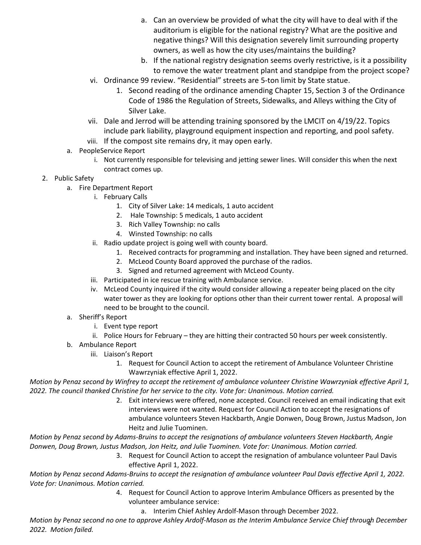- a. Can an overview be provided of what the city will have to deal with if the auditorium is eligible for the national registry? What are the positive and negative things? Will this designation severely limit surrounding property owners, as well as how the city uses/maintains the building?
- b. If the national registry designation seems overly restrictive, is it a possibility to remove the water treatment plant and standpipe from the project scope?
- vi. Ordinance 99 review. "Residential" streets are 5-ton limit by State statue.
	- 1. Second reading of the ordinance amending Chapter 15, Section 3 of the Ordinance Code of 1986 the Regulation of Streets, Sidewalks, and Alleys withing the City of Silver Lake.
- vii. Dale and Jerrod will be attending training sponsored by the LMCIT on 4/19/22. Topics include park liability, playground equipment inspection and reporting, and pool safety.
- viii. If the compost site remains dry, it may open early.
- a. PeopleService Report
	- i. Not currently responsible for televising and jetting sewer lines. Will consider this when the next contract comes up.
- 2. Public Safety
	- a. Fire Department Report
		- i. February Calls
			- 1. City of Silver Lake: 14 medicals, 1 auto accident
			- 2. Hale Township: 5 medicals, 1 auto accident
			- 3. Rich Valley Township: no calls
			- 4. Winsted Township: no calls
		- ii. Radio update project is going well with county board.
			- 1. Received contracts for programming and installation. They have been signed and returned.
			- 2. McLeod County Board approved the purchase of the radios.
			- 3. Signed and returned agreement with McLeod County.
		- iii. Participated in ice rescue training with Ambulance service.
		- iv. McLeod County inquired if the city would consider allowing a repeater being placed on the city water tower as they are looking for options other than their current tower rental. A proposal will need to be brought to the council.
	- a. Sheriff's Report
		- i. Event type report
		- ii. Police Hours for February they are hitting their contracted 50 hours per week consistently.
	- b. Ambulance Report
		- iii. Liaison's Report
			- 1. Request for Council Action to accept the retirement of Ambulance Volunteer Christine Wawrzyniak effective April 1, 2022.

*Motion by Penaz second by Winfrey to accept the retirement of ambulance volunteer Christine Wawrzyniak effective April 1, 2022. The council thanked Christine for her service to the city. Vote for: Unanimous. Motion carried.*

> 2. Exit interviews were offered, none accepted. Council received an email indicating that exit interviews were not wanted. Request for Council Action to accept the resignations of ambulance volunteers Steven Hackbarth, Angie Donwen, Doug Brown, Justus Madson, Jon Heitz and Julie Tuominen.

*Motion by Penaz second by Adams-Bruins to accept the resignations of ambulance volunteers Steven Hackbarth, Angie Donwen, Doug Brown, Justus Madson, Jon Heitz, and Julie Tuominen. Vote for: Unanimous. Motion carried.*

3. Request for Council Action to accept the resignation of ambulance volunteer Paul Davis effective April 1, 2022.

*Motion by Penaz second Adams-Bruins to accept the resignation of ambulance volunteer Paul Davis effective April 1, 2022. Vote for: Unanimous. Motion carried.*

- 4. Request for Council Action to approve Interim Ambulance Officers as presented by the volunteer ambulance service:
	- a. Interim Chief Ashley Ardolf-Mason through December 2022.

*Motion by Penaz second no one to approve Ashley Ardolf-Mason as the Interim Ambulance Service Chief through December*  2*2022. Motion failed.*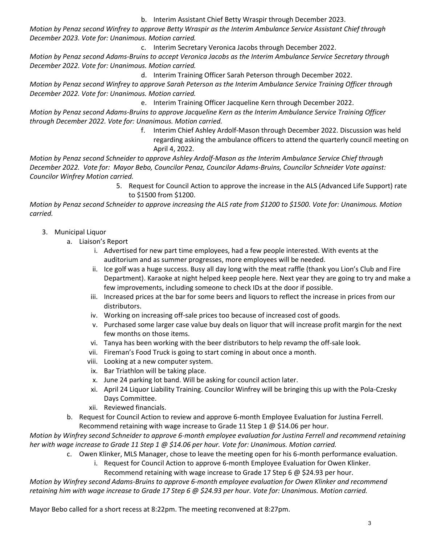b. Interim Assistant Chief Betty Wraspir through December 2023.

*Motion by Penaz second Winfrey to approve Betty Wraspir as the Interim Ambulance Service Assistant Chief through December 2023. Vote for: Unanimous. Motion carried.*

c. Interim Secretary Veronica Jacobs through December 2022. *Motion by Penaz second Adams-Bruins to accept Veronica Jacobs as the Interim Ambulance Service Secretary through December 2022. Vote for: Unanimous. Motion carried.*

d. Interim Training Officer Sarah Peterson through December 2022.

*Motion by Penaz second Winfrey to approve Sarah Peterson as the Interim Ambulance Service Training Officer through December 2022. Vote for: Unanimous. Motion carried.*

e. Interim Training Officer Jacqueline Kern through December 2022.

*Motion by Penaz second Adams-Bruins to approve Jacqueline Kern as the Interim Ambulance Service Training Officer through December 2022. Vote for: Unanimous. Motion carried.*

> f. Interim Chief Ashley Ardolf-Mason through December 2022. Discussion was held regarding asking the ambulance officers to attend the quarterly council meeting on April 4, 2022.

*Motion by Penaz second Schneider to approve Ashley Ardolf-Mason as the Interim Ambulance Service Chief through December 2022. Vote for: Mayor Bebo, Councilor Penaz, Councilor Adams-Bruins, Councilor Schneider Vote against: Councilor Winfrey Motion carried.*

> 5. Request for Council Action to approve the increase in the ALS (Advanced Life Support) rate to \$1500 from \$1200.

*Motion by Penaz second Schneider to approve increasing the ALS rate from \$1200 to \$1500. Vote for: Unanimous. Motion carried.*

## 3. Municipal Liquor

- a. Liaison's Report
	- i. Advertised for new part time employees, had a few people interested. With events at the auditorium and as summer progresses, more employees will be needed.
	- ii. Ice golf was a huge success. Busy all day long with the meat raffle (thank you Lion's Club and Fire Department). Karaoke at night helped keep people here. Next year they are going to try and make a few improvements, including someone to check IDs at the door if possible.
	- iii. Increased prices at the bar for some beers and liquors to reflect the increase in prices from our distributors.
	- iv. Working on increasing off-sale prices too because of increased cost of goods.
	- v. Purchased some larger case value buy deals on liquor that will increase profit margin for the next few months on those items.
	- vi. Tanya has been working with the beer distributors to help revamp the off-sale look.
	- vii. Fireman's Food Truck is going to start coming in about once a month.
	- viii. Looking at a new computer system.
	- ix. Bar Triathlon will be taking place.
	- x. June 24 parking lot band. Will be asking for council action later.
	- xi. April 24 Liquor Liability Training. Councilor Winfrey will be bringing this up with the Pola-Czesky Days Committee.
	- xii. Reviewed financials.
- b. Request for Council Action to review and approve 6-month Employee Evaluation for Justina Ferrell. Recommend retaining with wage increase to Grade 11 Step 1 @ \$14.06 per hour.

*Motion by Winfrey second Schneider to approve 6-month employee evaluation for Justina Ferrell and recommend retaining her with wage increase to Grade 11 Step 1 @ \$14.06 per hour. Vote for: Unanimous. Motion carried.*

- c. Owen Klinker, MLS Manager, chose to leave the meeting open for his 6-month performance evaluation.
	- i. Request for Council Action to approve 6-month Employee Evaluation for Owen Klinker.

Recommend retaining with wage increase to Grade 17 Step 6 @ \$24.93 per hour.

*Motion by Winfrey second Adams-Bruins to approve 6-month employee evaluation for Owen Klinker and recommend retaining him with wage increase to Grade 17 Step 6 @ \$24.93 per hour. Vote for: Unanimous. Motion carried.*

Mayor Bebo called for a short recess at 8:22pm. The meeting reconvened at 8:27pm.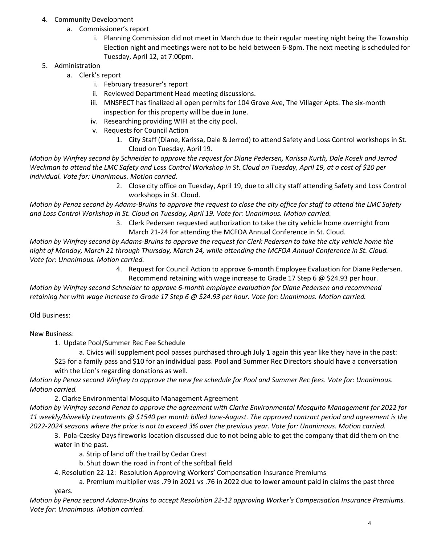- 4. Community Development
	- a. Commissioner's report
		- i. Planning Commission did not meet in March due to their regular meeting night being the Township Election night and meetings were not to be held between 6-8pm. The next meeting is scheduled for Tuesday, April 12, at 7:00pm.
- 5. Administration
	- a. Clerk's report
		- i. February treasurer's report
		- ii. Reviewed Department Head meeting discussions.
		- iii. MNSPECT has finalized all open permits for 104 Grove Ave, The Villager Apts. The six-month inspection for this property will be due in June.
		- iv. Researching providing WIFI at the city pool.
		- v. Requests for Council Action
			- 1. City Staff (Diane, Karissa, Dale & Jerrod) to attend Safety and Loss Control workshops in St. Cloud on Tuesday, April 19.

*Motion by Winfrey second by Schneider to approve the request for Diane Pedersen, Karissa Kurth, Dale Kosek and Jerrod Weckman to attend the LMC Safety and Loss Control Workshop in St. Cloud on Tuesday, April 19, at a cost of \$20 per individual. Vote for: Unanimous. Motion carried.*

> 2. Close city office on Tuesday, April 19, due to all city staff attending Safety and Loss Control workshops in St. Cloud.

*Motion by Penaz second by Adams-Bruins to approve the request to close the city office for staff to attend the LMC Safety and Loss Control Workshop in St. Cloud on Tuesday, April 19. Vote for: Unanimous. Motion carried.*

3. Clerk Pedersen requested authorization to take the city vehicle home overnight from March 21-24 for attending the MCFOA Annual Conference in St. Cloud.

*Motion by Winfrey second by Adams-Bruins to approve the request for Clerk Pedersen to take the city vehicle home the night of Monday, March 21 through Thursday, March 24, while attending the MCFOA Annual Conference in St. Cloud. Vote for: Unanimous. Motion carried.*

4. Request for Council Action to approve 6-month Employee Evaluation for Diane Pedersen.

Recommend retaining with wage increase to Grade 17 Step 6 @ \$24.93 per hour. *Motion by Winfrey second Schneider to approve 6-month employee evaluation for Diane Pedersen and recommend* 

*retaining her with wage increase to Grade 17 Step 6 @ \$24.93 per hour. Vote for: Unanimous. Motion carried.*

Old Business:

New Business:

1. Update Pool/Summer Rec Fee Schedule

a. Civics will supplement pool passes purchased through July 1 again this year like they have in the past: \$25 for a family pass and \$10 for an individual pass. Pool and Summer Rec Directors should have a conversation with the Lion's regarding donations as well.

*Motion by Penaz second Winfrey to approve the new fee schedule for Pool and Summer Rec fees. Vote for: Unanimous. Motion carried.*

2. Clarke Environmental Mosquito Management Agreement

*Motion by Winfrey second Penaz to approve the agreement with Clarke Environmental Mosquito Management for 2022 for 11 weekly/biweekly treatments @ \$1540 per month billed June-August. The approved contract period and agreement is the 2022-2024 seasons where the price is not to exceed 3% over the previous year. Vote for: Unanimous. Motion carried.*

3. Pola-Czesky Days fireworks location discussed due to not being able to get the company that did them on the water in the past.

a. Strip of land off the trail by Cedar Crest

b. Shut down the road in front of the softball field

4. Resolution 22-12: Resolution Approving Workers' Compensation Insurance Premiums

a. Premium multiplier was .79 in 2021 vs .76 in 2022 due to lower amount paid in claims the past three

years.

*Motion by Penaz second Adams-Bruins to accept Resolution 22-12 approving Worker's Compensation Insurance Premiums. Vote for: Unanimous. Motion carried.*